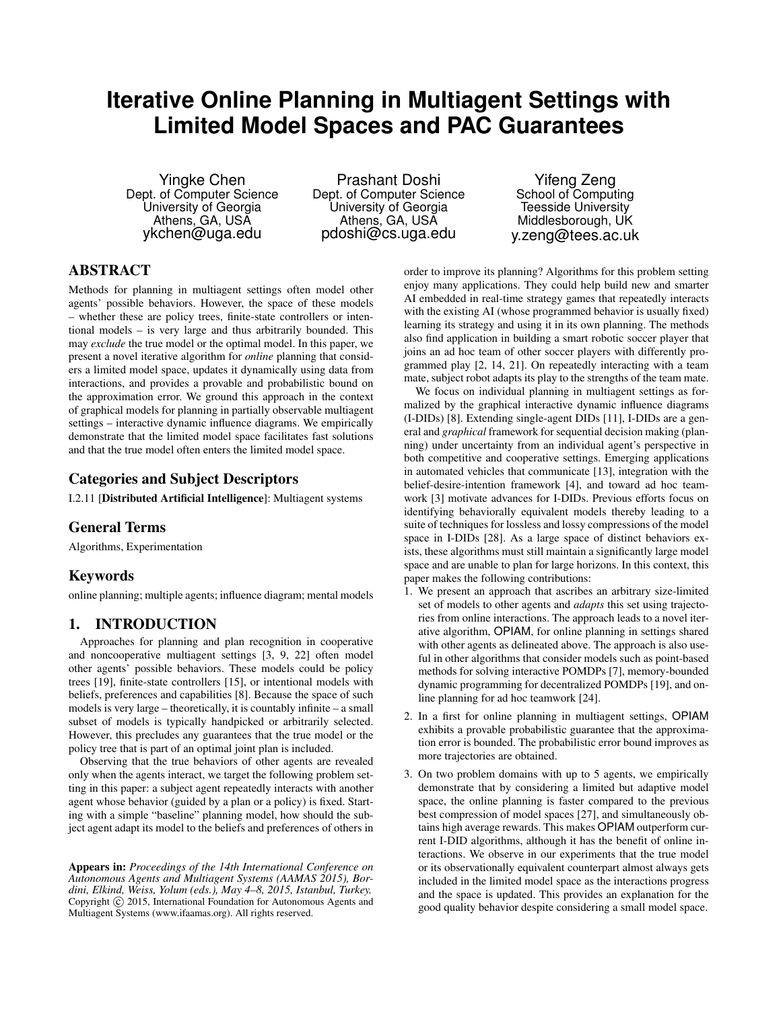# **Iterative Online Planning in Multiagent Settings with Limited Model Spaces and PAC Guarantees**

Yingke Chen Dept. of Computer Science University of Georgia Athens, GA, USA ykchen@uga.edu

Prashant Doshi Dept. of Computer Science University of Georgia Athens, GA, USA pdoshi@cs.uga.edu

Yifeng Zeng School of Computing Teesside University Middlesborough, UK y.zeng@tees.ac.uk

# ABSTRACT

Methods for planning in multiagent settings often model other agents' possible behaviors. However, the space of these models – whether these are policy trees, finite-state controllers or intentional models – is very large and thus arbitrarily bounded. This may *exclude* the true model or the optimal model. In this paper, we present a novel iterative algorithm for *online* planning that considers a limited model space, updates it dynamically using data from interactions, and provides a provable and probabilistic bound on the approximation error. We ground this approach in the context of graphical models for planning in partially observable multiagent settings – interactive dynamic influence diagrams. We empirically demonstrate that the limited model space facilitates fast solutions and that the true model often enters the limited model space.

# Categories and Subject Descriptors

I.2.11 [Distributed Artificial Intelligence]: Multiagent systems

# General Terms

Algorithms, Experimentation

# Keywords

online planning; multiple agents; influence diagram; mental models

# 1. INTRODUCTION

Approaches for planning and plan recognition in cooperative and noncooperative multiagent settings [3, 9, 22] often model other agents' possible behaviors. These models could be policy trees [19], finite-state controllers [15], or intentional models with beliefs, preferences and capabilities [8]. Because the space of such models is very large – theoretically, it is countably infinite – a small subset of models is typically handpicked or arbitrarily selected. However, this precludes any guarantees that the true model or the policy tree that is part of an optimal joint plan is included.

Observing that the true behaviors of other agents are revealed only when the agents interact, we target the following problem setting in this paper: a subject agent repeatedly interacts with another agent whose behavior (guided by a plan or a policy) is fixed. Starting with a simple "baseline" planning model, how should the subject agent adapt its model to the beliefs and preferences of others in

Appears in: *Proceedings of the 14th International Conference on Autonomous Agents and Multiagent Systems (AAMAS 2015), Bordini, Elkind, Weiss, Yolum (eds.), May 4–8, 2015, Istanbul, Turkey.* Copyright (C) 2015, International Foundation for Autonomous Agents and Multiagent Systems (www.ifaamas.org). All rights reserved.

order to improve its planning? Algorithms for this problem setting enjoy many applications. They could help build new and smarter AI embedded in real-time strategy games that repeatedly interacts with the existing AI (whose programmed behavior is usually fixed) learning its strategy and using it in its own planning. The methods also find application in building a smart robotic soccer player that joins an ad hoc team of other soccer players with differently programmed play [2, 14, 21]. On repeatedly interacting with a team mate, subject robot adapts its play to the strengths of the team mate.

We focus on individual planning in multiagent settings as formalized by the graphical interactive dynamic influence diagrams (I-DIDs) [8]. Extending single-agent DIDs [11], I-DIDs are a general and *graphical* framework for sequential decision making (planning) under uncertainty from an individual agent's perspective in both competitive and cooperative settings. Emerging applications in automated vehicles that communicate [13], integration with the belief-desire-intention framework [4], and toward ad hoc teamwork [3] motivate advances for I-DIDs. Previous efforts focus on identifying behaviorally equivalent models thereby leading to a suite of techniques for lossless and lossy compressions of the model space in I-DIDs [28]. As a large space of distinct behaviors exists, these algorithms must still maintain a significantly large model space and are unable to plan for large horizons. In this context, this paper makes the following contributions:

- 1. We present an approach that ascribes an arbitrary size-limited set of models to other agents and *adapts* this set using trajectories from online interactions. The approach leads to a novel iterative algorithm, OPIAM, for online planning in settings shared with other agents as delineated above. The approach is also useful in other algorithms that consider models such as point-based methods for solving interactive POMDPs [7], memory-bounded dynamic programming for decentralized POMDPs [19], and online planning for ad hoc teamwork [24].
- 2. In a first for online planning in multiagent settings, OPIAM exhibits a provable probabilistic guarantee that the approximation error is bounded. The probabilistic error bound improves as more trajectories are obtained.
- 3. On two problem domains with up to 5 agents, we empirically demonstrate that by considering a limited but adaptive model space, the online planning is faster compared to the previous best compression of model spaces [27], and simultaneously obtains high average rewards. This makes OPIAM outperform current I-DID algorithms, although it has the benefit of online interactions. We observe in our experiments that the true model or its observationally equivalent counterpart almost always gets included in the limited model space as the interactions progress and the space is updated. This provides an explanation for the good quality behavior despite considering a small model space.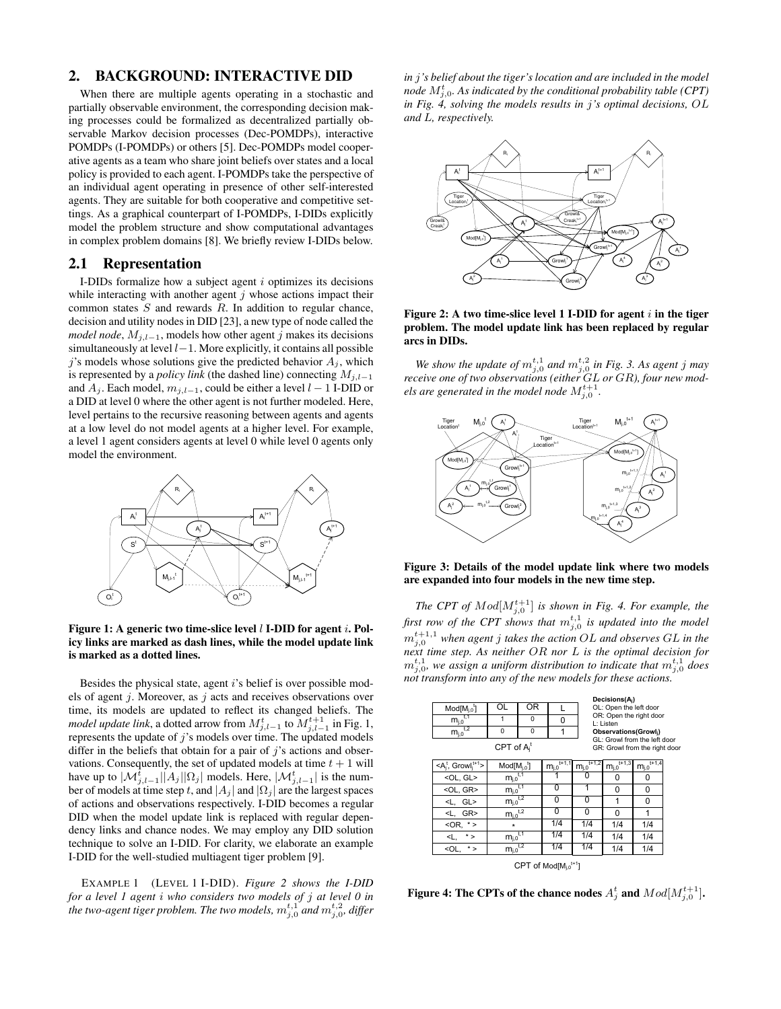### 2. BACKGROUND: INTERACTIVE DID

When there are multiple agents operating in a stochastic and partially observable environment, the corresponding decision making processes could be formalized as decentralized partially observable Markov decision processes (Dec-POMDPs), interactive POMDPs (I-POMDPs) or others [5]. Dec-POMDPs model cooperative agents as a team who share joint beliefs over states and a local policy is provided to each agent. I-POMDPs take the perspective of an individual agent operating in presence of other self-interested agents. They are suitable for both cooperative and competitive settings. As a graphical counterpart of I-POMDPs, I-DIDs explicitly model the problem structure and show computational advantages in complex problem domains [8]. We briefly review I-DIDs below.

#### 2.1 Representation

I-DIDs formalize how a subject agent  $i$  optimizes its decisions while interacting with another agent  $j$  whose actions impact their common states  $S$  and rewards  $R$ . In addition to regular chance, decision and utility nodes in DID [23], a new type of node called the *model node*,  $M_{j,l-1}$ , models how other agent j makes its decisions simultaneously at level l−1. More explicitly, it contains all possible j's models whose solutions give the predicted behavior  $A_j$ , which is represented by a *policy link* (the dashed line) connecting  $M_{j,l-1}$ and  $A_j$ . Each model,  $m_{j,l-1}$ , could be either a level  $l-1$  I-DID or a DID at level 0 where the other agent is not further modeled. Here, level pertains to the recursive reasoning between agents and agents at a low level do not model agents at a higher level. For example, a level 1 agent considers agents at level 0 while level 0 agents only model the environment.



Figure 1: A generic two time-slice level  $l$  I-DID for agent  $i$ . Policy links are marked as dash lines, while the model update link is marked as a dotted lines.

Besides the physical state, agent  $i$ 's belief is over possible models of agent  $j$ . Moreover, as  $j$  acts and receives observations over time, its models are updated to reflect its changed beliefs. The *model update link*, a dotted arrow from  $M_{j,l-1}^t$  to  $M_{j,l-1}^{t+1}$  in Fig. 1, represents the update of  $j$ 's models over time. The updated models differ in the beliefs that obtain for a pair of  $j$ 's actions and observations. Consequently, the set of updated models at time  $t + 1$  will have up to  $|\mathcal{M}_{j,l-1}^{t}||A_j||\Omega_j|$  models. Here,  $|\mathcal{M}_{j,l-1}^{t}|$  is the number of models at time step t, and  $|A_j|$  and  $|\Omega_j|$  are the largest spaces of actions and observations respectively. I-DID becomes a regular DID when the model update link is replaced with regular dependency links and chance nodes. We may employ any DID solution technique to solve an I-DID. For clarity, we elaborate an example I-DID for the well-studied multiagent tiger problem [9].

EXAMPLE 1 (LEVEL 1 I-DID). *Figure 2 shows the I-DID for a level 1 agent* i *who considers two models of* j *at level 0 in* the two-agent tiger problem. The two models,  $m_{j,0}^{t,1}$  and  $m_{j,0}^{t,2}$ , differ

*in* j*'s belief about the tiger's location and are included in the model* node  $M^t_{j,0}$ . As indicated by the conditional probability table (CPT) *in Fig. 4, solving the models results in* j*'s optimal decisions,* OL *and* L*, respectively.*



Figure 2: A two time-slice level 1 I-DID for agent  $i$  in the tiger problem. The model update link has been replaced by regular arcs in DIDs.

We show the update of  $m_{j,0}^{t,1}$  and  $m_{j,0}^{t,2}$  in Fig. 3. As agent j may *receive one of two observations (either* GL *or* GR*), four new mod*els are generated in the model node  $M_{j,0}^{t+1}$ *.*



Figure 3: Details of the model update link where two models are expanded into four models in the new time step.

*The CPT of*  $Mod[M_{j,0}^{t+1}]$  *is shown in Fig. 4. For example, the* first row of the CPT shows that  $m_{j,0}^{t,1}$  is updated into the model m t+1,1 j,<sup>0</sup> *when agent* j *takes the action* OL *and observes* GL *in the next time step. As neither* OR *nor* L *is the optimal decision for*  $m_{j,0}^{t,1}$ , we assign a uniform distribution to indicate that  $m_{j,0}^{t,1}$  does *not transform into any of the new models for these actions.*

|                                                                                 |                                        |                |                                          |                        | Decisions(A <sub>i</sub> )           |                        |  |  |  |  |
|---------------------------------------------------------------------------------|----------------------------------------|----------------|------------------------------------------|------------------------|--------------------------------------|------------------------|--|--|--|--|
| $Mod[M_{i.0}^{\dagger}]$                                                        | OL                                     | 0 <sub>R</sub> | L                                        |                        | OL: Open the left door               |                        |  |  |  |  |
| $m_{j,0}^{t,1}$                                                                 | 1                                      | 0              | 0                                        |                        | OR: Open the right door<br>L: Listen |                        |  |  |  |  |
| $m_{j,0}^{\overline{t,2}}$                                                      | 0                                      | 0              |                                          |                        | Observations(Growli)                 |                        |  |  |  |  |
| GL: Growl from the left door<br>CPT of $A_i^t$<br>GR: Growl from the right door |                                        |                |                                          |                        |                                      |                        |  |  |  |  |
| $\leq A_i^t$ , Growl $i^{t+1}$                                                  | $Mod[M_{i.0}]$                         |                | $\underline{m_{j,0}}^{\overline{t+1,1}}$ | $t + 1,2$<br>$m_{j,0}$ | $t + 1,3$<br>$m_{i,0}$               | $t + 1,4$<br>$m_{j,0}$ |  |  |  |  |
| <ol, gl=""></ol,>                                                               | $m_{j,0}$ <sup>t<sub>1</sub></sup>     |                |                                          | O                      | 0                                    | 0                      |  |  |  |  |
| <ol, gr=""></ol,>                                                               | $m_{j,0}$ <sup>t,1</sup>               |                | 0                                        |                        | 0                                    | 0                      |  |  |  |  |
| <l, gl=""></l,>                                                                 | $\underline{m_{j,0}}^{\overline{t,2}}$ |                | 0                                        | 0                      | 1                                    | 0                      |  |  |  |  |
| <l. gr=""></l.>                                                                 | $m_{i,0}^{t,2}$                        |                | 0                                        | 0                      | 0                                    | 1                      |  |  |  |  |
| $<$ OR, $*$ >                                                                   | $\star$                                |                | 1/4                                      | 1/4                    | 1/4                                  | 1/4                    |  |  |  |  |
| $< L, * >$                                                                      | $\underline{m_{j,0}}^{\overline{t,1}}$ |                | 1/4                                      | 1/4                    | 1/4                                  | 1/4                    |  |  |  |  |
| $<$ OL. $*$ >                                                                   | $\underline{m_{j,0}}^{\overline{t,2}}$ |                | 1/4                                      | 1/4                    | 1/4                                  | 1/4                    |  |  |  |  |
| CPT of $Mod[M_{i,0}^{t+1}]$                                                     |                                        |                |                                          |                        |                                      |                        |  |  |  |  |

Figure 4: The CPTs of the chance nodes  $A_j^t$  and  $Mod[M_{j,0}^{t+1}].$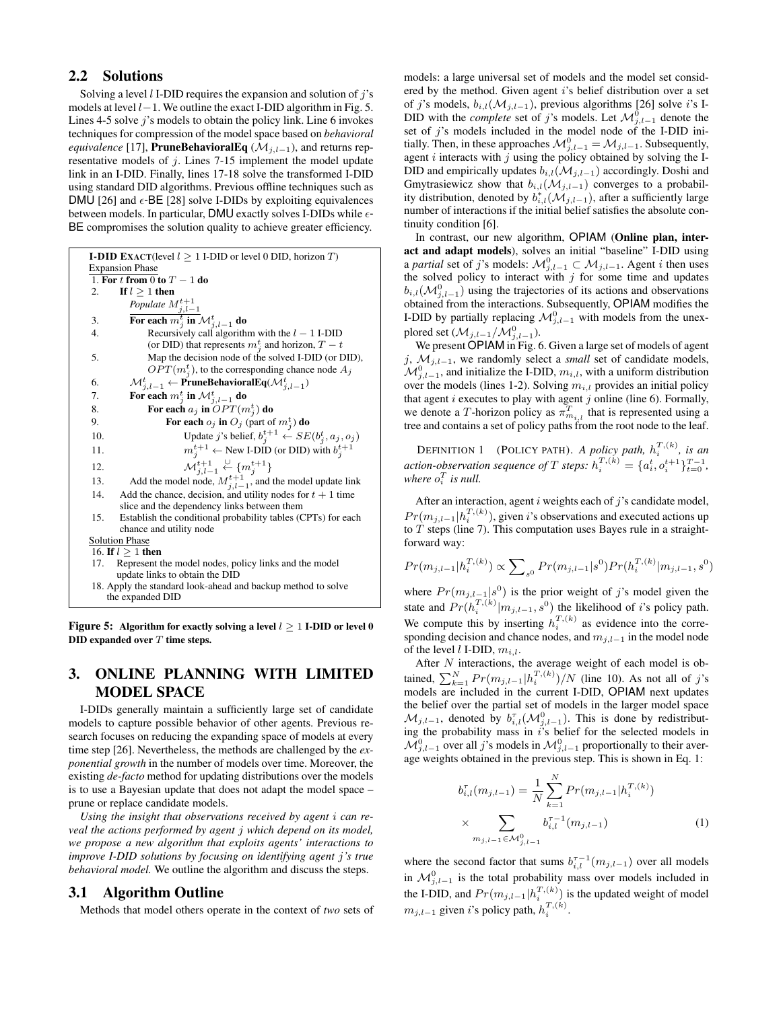## 2.2 Solutions

Solving a level  $l$  I-DID requires the expansion and solution of  $j$ 's models at level l−1. We outline the exact I-DID algorithm in Fig. 5. Lines 4-5 solve j's models to obtain the policy link. Line 6 invokes techniques for compression of the model space based on *behavioral equivalence* [17], **PruneBehavioralEq** ( $\mathcal{M}_{j,l-1}$ ), and returns representative models of  $j$ . Lines 7-15 implement the model update link in an I-DID. Finally, lines 17-18 solve the transformed I-DID using standard DID algorithms. Previous offline techniques such as DMU [26] and  $\epsilon$ -BE [28] solve I-DIDs by exploiting equivalences between models. In particular, DMU exactly solves I-DIDs while  $\epsilon$ -BE compromises the solution quality to achieve greater efficiency.

| <b>I-DID EXACT</b> (level $l \geq 1$ I-DID or level 0 DID, horizon T)                      |  |  |  |  |  |  |
|--------------------------------------------------------------------------------------------|--|--|--|--|--|--|
| <b>Expansion Phase</b>                                                                     |  |  |  |  |  |  |
| 1. For t from 0 to $T-1$ do                                                                |  |  |  |  |  |  |
| If $l > 1$ then<br>2.                                                                      |  |  |  |  |  |  |
| Populate $M^{t+1}_{j,l-1}$<br>For each $m^t_j$ in $\mathcal{M}^t_{j,l-1}$ do               |  |  |  |  |  |  |
| 3.                                                                                         |  |  |  |  |  |  |
| 4.<br>Recursively call algorithm with the $l - 1$ I-DID                                    |  |  |  |  |  |  |
| (or DID) that represents $m_i^t$ and horizon, $T - t$                                      |  |  |  |  |  |  |
| Map the decision node of the solved I-DID (or DID),<br>5.                                  |  |  |  |  |  |  |
| $OPT(m_j^t)$ , to the corresponding chance node $A_j$                                      |  |  |  |  |  |  |
| $\mathcal{M}^t_{j,l-1} \leftarrow \textbf{PruneBehavioralEq}(\mathcal{M}^t_{j,l-1})$<br>6. |  |  |  |  |  |  |
| For each $m_j^t$ in $\mathcal{M}_{j,l-1}^t$ do<br>7.                                       |  |  |  |  |  |  |
| For each $a_j$ in $OPT(m_j^t)$ do<br>8.                                                    |  |  |  |  |  |  |
| For each $o_j$ in $O_j$ (part of $m_j^t$ ) do<br>9.                                        |  |  |  |  |  |  |
| Update j's belief, $b_j^{t+1} \leftarrow SE(b_j^t, a_j, o_j)$<br>10.                       |  |  |  |  |  |  |
| $m_j^{t+1} \leftarrow$ New I-DID (or DID) with $b_j^{t+1}$<br>11.                          |  |  |  |  |  |  |
| $\mathcal{M}_{i,l-1}^{t+1} \overset{\cup}{\leftarrow} \{m_i^{t+1}\}$<br>12.                |  |  |  |  |  |  |
| Add the model node, $M_{j,l-1}^{t+1}$ , and the model update link<br>13.                   |  |  |  |  |  |  |
| Add the chance, decision, and utility nodes for $t + 1$ time<br>14.                        |  |  |  |  |  |  |
| slice and the dependency links between them                                                |  |  |  |  |  |  |
| 15.<br>Establish the conditional probability tables (CPTs) for each                        |  |  |  |  |  |  |
| chance and utility node                                                                    |  |  |  |  |  |  |
| <b>Solution Phase</b>                                                                      |  |  |  |  |  |  |
| 16. If $l \geq 1$ then                                                                     |  |  |  |  |  |  |
| Represent the model nodes, policy links and the model<br>17.                               |  |  |  |  |  |  |
| update links to obtain the DID                                                             |  |  |  |  |  |  |
| 18. Apply the standard look-ahead and backup method to solve                               |  |  |  |  |  |  |
| the expanded DID                                                                           |  |  |  |  |  |  |
|                                                                                            |  |  |  |  |  |  |

Figure 5: Algorithm for exactly solving a level  $l > 1$  I-DID or level 0 DID expanded over  $T$  time steps.

# 3. ONLINE PLANNING WITH LIMITED MODEL SPACE

I-DIDs generally maintain a sufficiently large set of candidate models to capture possible behavior of other agents. Previous research focuses on reducing the expanding space of models at every time step [26]. Nevertheless, the methods are challenged by the *exponential growth* in the number of models over time. Moreover, the existing *de-facto* method for updating distributions over the models is to use a Bayesian update that does not adapt the model space – prune or replace candidate models.

*Using the insight that observations received by agent* i *can reveal the actions performed by agent* j *which depend on its model, we propose a new algorithm that exploits agents' interactions to improve I-DID solutions by focusing on identifying agent* j*'s true behavioral model.* We outline the algorithm and discuss the steps.

#### 3.1 Algorithm Outline

Methods that model others operate in the context of *two* sets of

models: a large universal set of models and the model set considered by the method. Given agent i's belief distribution over a set of j's models,  $b_{i,l}(\mathcal{M}_{j,l-1})$ , previous algorithms [26] solve i's I-DID with the *complete* set of j's models. Let  $\mathcal{M}_{j,l-1}^0$  denote the set of j's models included in the model node of the I-DID initially. Then, in these approaches  $\mathcal{M}_{j,l-1}^0 = \mathcal{M}_{j,l-1}$ . Subsequently, agent  $i$  interacts with  $j$  using the policy obtained by solving the I-DID and empirically updates  $b_{i,l}(\mathcal{M}_{i,l-1})$  accordingly. Doshi and Gmytrasiewicz show that  $b_{i,l}(\mathcal{M}_{j,l-1})$  converges to a probability distribution, denoted by  $b_{i,l}^*(\mathcal{M}_{j,l-1})$ , after a sufficiently large number of interactions if the initial belief satisfies the absolute continuity condition [6].

In contrast, our new algorithm, OPIAM (Online plan, interact and adapt models), solves an initial "baseline" I-DID using a *partial* set of j's models:  $\mathcal{M}_{j,l-1}^0 \subset \mathcal{M}_{j,l-1}$ . Agent *i* then uses the solved policy to interact with  $j$  for some time and updates  $b_{i,l}(\mathcal{M}_{j,l-1}^0)$  using the trajectories of its actions and observations obtained from the interactions. Subsequently, OPIAM modifies the I-DID by partially replacing  $\mathcal{M}_{j,l-1}^0$  with models from the unexplored set ( $\mathcal{M}_{j,l-1}/\mathcal{M}_{j,l-1}^0$ ).

We present OPIAM in Fig. 6. Given a large set of models of agent j, Mj,l−1, we randomly select a *small* set of candidate models,  $\mathcal{M}_{j,l-1}^0$ , and initialize the I-DID,  $m_{i,l}$ , with a uniform distribution over the models (lines 1-2). Solving  $m_{i,l}$  provides an initial policy that agent  $i$  executes to play with agent  $j$  online (line 6). Formally, we denote a T-horizon policy as  $\pi_{m_{i,l}}^T$  that is represented using a tree and contains a set of policy paths from the root node to the leaf.

DEFINITION 1 (POLICY PATH). A policy path,  $h_i^{T,(k)}$ , is an *action-observation sequence of*  $T$  *steps:*  $h_i^{T,(k)} = \{a_i^t, o_i^{t+1}\}_{t=0}^{T-1}$ , where  $o_i^T$  is null.

After an interaction, agent  $i$  weights each of  $j$ 's candidate model,  $Pr(m_{j,l-1} | h_i^{T,(k)})$ , given i's observations and executed actions up to  $T$  steps (line 7). This computation uses Bayes rule in a straightforward way:

$$
Pr(m_{j,l-1}|h_i^{T,(k)}) \propto \sum\nolimits_{s^0} Pr(m_{j,l-1}|s^0) Pr(h_i^{T,(k)}|m_{j,l-1},s^0)
$$

where  $Pr(m_{j,l-1}|s^0)$  is the prior weight of j's model given the state and  $Pr(h_i^{T,(k)} | m_{j,l-1}, s^0)$  the likelihood of *i*'s policy path. We compute this by inserting  $h_i^{T,(k)}$  as evidence into the corresponding decision and chance nodes, and  $m_{j,l-1}$  in the model node of the level  $l$  I-DID,  $m_{i,l}$ .

After  $N$  interactions, the average weight of each model is obtained,  $\sum_{k=1}^{N} Pr(m_{j,l-1} | h_i^{T,(k)})/N$  (line 10). As not all of j's models are included in the current I-DID, OPIAM next updates the belief over the partial set of models in the larger model space  $\mathcal{M}_{j,l-1}$ , denoted by  $b_{i,l}^{\tau}(\mathcal{M}_{j,l-1}^0)$ . This is done by redistributing the probability mass in  $i$ 's belief for the selected models in  $\mathcal{M}_{j,l-1}^0$  over all j's models in  $\mathcal{M}_{j,l-1}^0$  proportionally to their average weights obtained in the previous step. This is shown in Eq. 1:

$$
b_{i,l}^{\tau}(m_{j,l-1}) = \frac{1}{N} \sum_{k=1}^{N} Pr(m_{j,l-1} | h_i^{T,(k)})
$$
  
 
$$
\times \sum_{m_{j,l-1} \in \mathcal{M}_{j,l-1}^0} b_{i,l}^{\tau-1}(m_{j,l-1})
$$
 (1)

where the second factor that sums  $b_{i,l}^{\tau-1}(m_{j,l-1})$  over all models in  $\mathcal{M}_{j,l-1}^0$  is the total probability mass over models included in the I-DID, and  $Pr(m_{j,l-1} | h_i^{T,(k)})$  is the updated weight of model  $m_{j,l-1}$  given *i*'s policy path,  $h_i^{T,(k)}$ .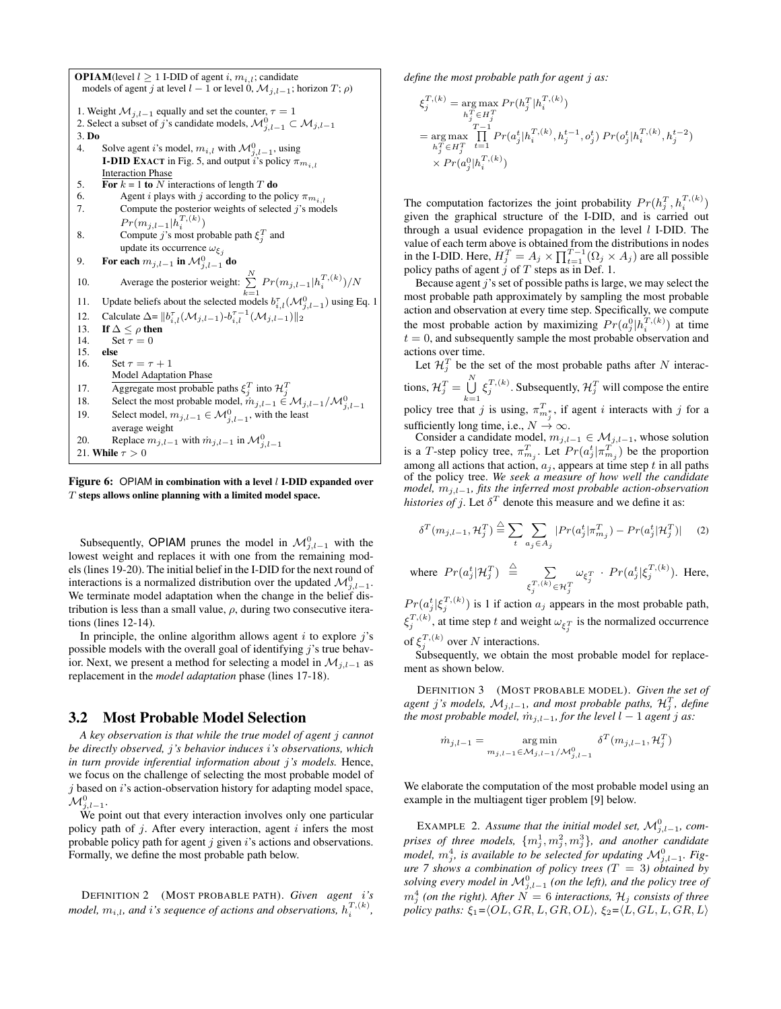**OPIAM**(level  $l \geq 1$  I-DID of agent i,  $m_{i,l}$ ; candidate models of agent j at level  $l - 1$  or level 0,  $\mathcal{M}_{i,l-1}$ ; horizon  $T; \rho$ ) 1. Weight  $M_{j,l-1}$  equally and set the counter,  $\tau = 1$ <br>2. Select a subset of j's candidate models,  $M_{j,l-1}^0 \subset M_{j,l-1}$ 3. Do 4. Solve agent i's model,  $m_{i,l}$  with  $\mathcal{M}_{j,l-1}^0$ , using **I-DID EXACT** in Fig. 5, and output i's policy  $\pi_{m_{i,l}}$ Interaction Phase 5. For  $k = 1$  to N interactions of length T do 6. Agent *i* plays with *j* according to the policy  $\pi_{m_{i,l}}$ <br>7. Compute the posterior weights of selected *j*'s mod Compute the posterior weights of selected  $j$ 's models  $Pr(m_{j,l-1} | h_i^{T,(k)})$ 8. Compute *j*'s most probable path  $\xi_j^T$  and update its occurrence  $\omega_{\xi_j}$ 9. For each  $m_{j,l-1}$  in  $\mathcal{M}_{j,l-1}^0$  do 10. Average the posterior weight:  $\sum_{k=1}^{N} Pr(m_{j,l-1}|h_i^{T,(k)})/N$ 11. Update beliefs about the selected models  $b_{i,l}^{\tau}(\mathcal{M}_{j,l-1}^0)$  using Eq. 1 12. Calculate  $\Delta = ||b_{i,l}^{\tau}(\mathcal{M}_{j,l-1}) - b_{i,l}^{\tau-1}(\mathcal{M}_{j,l-1})||_2$ 13. If  $\Delta \leq \rho$  then<br>14. Set  $\tau = 0$ Set  $\tau = 0$ 15. **else**<br>16. Se Set  $\tau = \tau + 1$ Model Adaptation Phase 17. Aggregate most probable paths  $\xi_j^T$  into  $\mathcal{H}_j^T$ 18. Select the most probable model,  $\dot{m}_{j,l-1} \in M_{j,l-1}/M_{j,l-1}^0$ <br>19. Select model,  $m_{j,l-1} \in M_{j,l-1}^0$ , with the least average weight 20. Replace  $m_{j,l-1}$  with  $m_{j,l-1}$  in  $\mathcal{M}_{j,l-1}^0$ 21. While  $\tau > 0$ 

Figure 6: OPIAM in combination with a level  $l$  I-DID expanded over T steps allows online planning with a limited model space.

Subsequently, OPIAM prunes the model in  $\mathcal{M}_{j,l-1}^0$  with the lowest weight and replaces it with one from the remaining models (lines 19-20). The initial belief in the I-DID for the next round of interactions is a normalized distribution over the updated  $\mathcal{M}_{j,l-1}^0$ . We terminate model adaptation when the change in the belief distribution is less than a small value,  $\rho$ , during two consecutive iterations (lines 12-14).

In principle, the online algorithm allows agent  $i$  to explore  $j$ 's possible models with the overall goal of identifying  $j$ 's true behavior. Next, we present a method for selecting a model in  $\mathcal{M}_{i,l-1}$  as replacement in the *model adaptation* phase (lines 17-18).

#### 3.2 Most Probable Model Selection

*A key observation is that while the true model of agent* j *cannot be directly observed,* j*'s behavior induces* i*'s observations, which in turn provide inferential information about* j*'s models.* Hence, we focus on the challenge of selecting the most probable model of  $j$  based on  $i$ 's action-observation history for adapting model space,  $\mathcal{M}^0_{j,l-1}.$ 

We point out that every interaction involves only one particular policy path of  $j$ . After every interaction, agent  $i$  infers the most probable policy path for agent  $j$  given  $i$ 's actions and observations. Formally, we define the most probable path below.

DEFINITION 2 (MOST PROBABLE PATH). *Given agent* i*'s model,*  $m_{i,l}$ , and i's sequence of actions and observations,  $h_i^{T,(k)}$ ,

*define the most probable path for agent* j *as:*

$$
\begin{aligned} \xi_j^{T,(k)} &= \mathop{\arg\max}_{h_j^T \in H_j^T} Pr(h_j^T | h_i^{T,(k)}) \\ &= \mathop{\arg\max}_{h_j^T \in H_j^T} \prod_{t=1}^{T-1} Pr(a_j^t | h_i^{T,(k)}, h_j^{t-1}, o_j^t) \Pr(o_j^t | h_i^{T,(k)}, h_j^{t-2}) \\ &\times Pr(a_j^0 | h_i^{T,(k)}) \end{aligned}
$$

The computation factorizes the joint probability  $Pr(h_j^T, h_i^{T,(k)})$ given the graphical structure of the I-DID, and is carried out through a usual evidence propagation in the level  $l$  I-DID. The value of each term above is obtained from the distributions in nodes in the I-DID. Here,  $H_j^T = A_j \times \prod_{t=1}^{T-1} (\Omega_j \times A_j)$  are all possible policy paths of agent  $j$  of  $T$  steps as in Def. 1.

Because agent  $j$ 's set of possible paths is large, we may select the most probable path approximately by sampling the most probable action and observation at every time step. Specifically, we compute the most probable action by maximizing  $Pr(a_j^0 | h_i^{T,(k)})$  at time  $t = 0$ , and subsequently sample the most probable observation and actions over time.

Let  $\mathcal{H}_j^T$  be the set of the most probable paths after N interactions,  $\mathcal{H}_j^T = \bigcup_{k=1}^N \xi_j^{T,(k)}$ . Subsequently,  $\mathcal{H}_j^T$  will compose the entire policy tree that j is using,  $\pi_{m_j^*}^T$ , if agent i interacts with j for a sufficiently long time, i.e.,  $N \rightarrow \infty$ .

Consider a candidate model,  $m_{j,l-1} \in \mathcal{M}_{j,l-1}$ , whose solution is a T-step policy tree,  $\pi_{m_j}^T$ . Let  $Pr(a_j^t | \pi_{m_j}^T)$  be the proportion among all actions that action,  $a_j$ , appears at time step t in all paths of the policy tree. *We seek a measure of how well the candidate model,*  $m_{j,l-1}$ *, fits the inferred most probable action-observation histories of j.* Let  $\delta^T$  denote this measure and we define it as:

$$
\delta^T(m_{j,l-1}, \mathcal{H}_j^T) \stackrel{\triangle}{=} \sum_{t} \sum_{a_j \in A_j} |Pr(a_j^t | \pi_{m_j}^T) - Pr(a_j^t | \mathcal{H}_j^T)| \tag{2}
$$

where 
$$
Pr(a_j^t | \mathcal{H}_j^T) \triangleq \sum_{\xi_j^{T,(k)} \in \mathcal{H}_j^T} \omega_{\xi_j^T} \cdot Pr(a_j^t | \xi_j^{T,(k)})
$$
. Here,

 $Pr(a_j^t | \xi_j^{T,(k)})$  is 1 if action  $a_j$  appears in the most probable path,  $\xi_j^{T,(k)}$ , at time step t and weight  $\omega_{\xi_j^T}$  is the normalized occurrence of  $\xi_j^{T,(k)}$  over N interactions.

Subsequently, we obtain the most probable model for replacement as shown below.

DEFINITION 3 (MOST PROBABLE MODEL). *Given the set of*  $a$ gent j's models,  $\mathcal{M}_{j,l-1}$ , and most probable paths,  $\mathcal{H}_j^T$ , define *the most probable model,*  $\dot{m}_{j,l-1}$ *, for the level*  $l-1$  *agent*  $j$  *as:* 

$$
\dot{m}_{j,l-1} = \underset{m_{j,l-1} \in \mathcal{M}_{j,l-1}}{\arg \min} \delta^T(m_{j,l-1}, \mathcal{H}_j^T)
$$

We elaborate the computation of the most probable model using an example in the multiagent tiger problem [9] below.

EXAMPLE 2. Assume that the initial model set,  $\mathcal{M}_{j,l-1}^0$ , comprises of three models,  $\{m_j^1,m_j^2,m_j^3\}$ , and another candidate *model,*  $m_j^4$ , is available to be selected for updating  $\mathcal{M}_{j,l-1}^0$ . Fig*ure 7 shows a combination of policy trees (*T = 3*) obtained by solving every model in*  $\mathcal{M}_{j,l-1}^0$  (on the left), and the policy tree of  $m_j^4$  (on the right). After  $\dot{N} = 6$  interactions,  $\mathcal{H}_j$  consists of three *policy paths:*  $\xi_1 = \langle OL, GR, L, GR, OL \rangle$ ,  $\xi_2 = \langle L, GL, L, GR, L \rangle$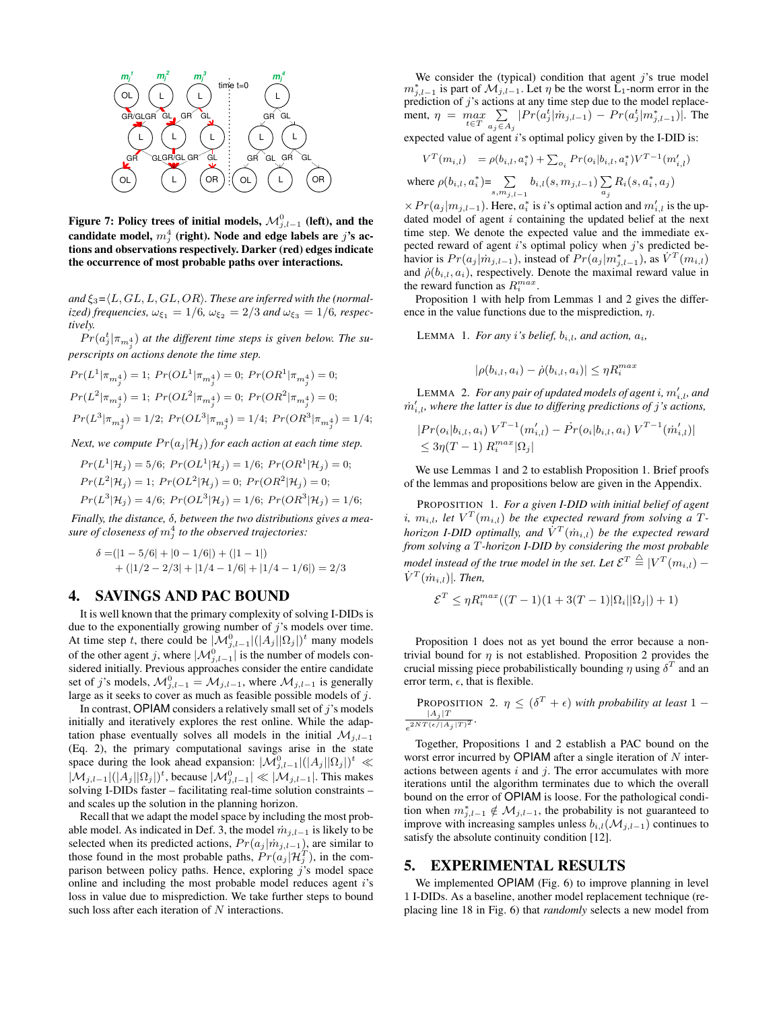

Figure 7: Policy trees of initial models,  $\mathcal{M}_{j,l-1}^{0}$  (left), and the candidate model,  $m_j^4$  (right). Node and edge labels are  $j$ 's actions and observations respectively. Darker (red) edges indicate the occurrence of most probable paths over interactions.

and  $\xi_3 = \langle L, GL, L, GL, OR \rangle$ . These are inferred with the (normal- $\omega_{\xi_1}$  ized) frequencies,  $\omega_{\xi_1} = 1/6$ ,  $\omega_{\xi_2} = 2/3$  and  $\omega_{\xi_3} = 1/6$ , respec*tively.*

 $Pr(a_j^t | \pi_{m_j^4})$  at the different time steps is given below. The su*perscripts on actions denote the time step.*

$$
\begin{array}{l} Pr(L^1|\pi_{m^4_j})=1; \ Pr(OL^1|\pi_{m^4_j})=0; \ Pr(OR^1|\pi_{m^4_j})=0;\\ \\ Pr(L^2|\pi_{m^4_j})=1; \ Pr(OL^2|\pi_{m^4_j})=0; \ Pr(OR^2|\pi_{m^4_j})=0;\\ \\ Pr(L^3|\pi_{m^4_j})=1/2; \ Pr(OL^3|\pi_{m^4_j})=1/4; \ Pr(OR^3|\pi_{m^4_j})=1/4; \end{array}
$$

*Next, we compute*  $Pr(a_i | \mathcal{H}_i)$  *for each action at each time step.* 

$$
Pr(L^{1}|\mathcal{H}_{j}) = 5/6; Pr(OL^{1}|\mathcal{H}_{j}) = 1/6; Pr(OR^{1}|\mathcal{H}_{j}) = 0;
$$
  
\n
$$
Pr(L^{2}|\mathcal{H}_{j}) = 1; Pr(OL^{2}|\mathcal{H}_{j}) = 0; Pr(OR^{2}|\mathcal{H}_{j}) = 0;
$$
  
\n
$$
Pr(L^{3}|\mathcal{H}_{j}) = 4/6; Pr(OL^{3}|\mathcal{H}_{j}) = 1/6; Pr(OR^{3}|\mathcal{H}_{j}) = 1/6;
$$

*Finally, the distance,* δ*, between the two distributions gives a mea-* $\emph{sure of closeness of $m_j^4$ to the observed trajectories:}$ 

$$
\delta = (|1 - 5/6| + |0 - 1/6|) + (|1 - 1|)
$$
  
+ (|1/2 - 2/3| + |1/4 - 1/6| + |1/4 - 1/6|) = 2/3

#### 4. SAVINGS AND PAC BOUND

It is well known that the primary complexity of solving I-DIDs is due to the exponentially growing number of  $j$ 's models over time. At time step t, there could be  $|\mathcal{M}_{j,l-1}^0|(|A_j||\Omega_j|)^t$  many models of the other agent j, where  $|\mathcal{M}_{j,l-1}^0|$  is the number of models considered initially. Previous approaches consider the entire candidate set of j's models,  $\mathcal{M}_{j,l-1}^0 = \mathcal{M}_{j,l-1}$ , where  $\mathcal{M}_{j,l-1}$  is generally large as it seeks to cover as much as feasible possible models of j.

In contrast, OPIAM considers a relatively small set of  $j$ 's models initially and iteratively explores the rest online. While the adaptation phase eventually solves all models in the initial  $\mathcal{M}_{j,l-1}$ (Eq. 2), the primary computational savings arise in the state space during the look ahead expansion:  $|\mathcal{M}_{j,l-1}^0|(|A_j||\Omega_j|)^t \ll$  $|\mathcal{M}_{j,l-1}|(|A_j| |\Omega_j|)^t$ , because  $|\mathcal{M}_{j,l-1}^0| \ll |\mathcal{M}_{j,l-1}|$ . This makes solving I-DIDs faster – facilitating real-time solution constraints – and scales up the solution in the planning horizon.

Recall that we adapt the model space by including the most probable model. As indicated in Def. 3, the model  $\dot{m}_{i,l-1}$  is likely to be selected when its predicted actions,  $Pr(a_j | m_{j,l-1})$ , are similar to those found in the most probable paths,  $Pr(a_j | \mathcal{H}_j^T)$ , in the comparison between policy paths. Hence, exploring  $j$ 's model space online and including the most probable model reduces agent i's loss in value due to misprediction. We take further steps to bound such loss after each iteration of N interactions.

We consider the (typical) condition that agent  $j$ 's true model  $m_{j,l-1}^*$  is part of  $\mathcal{M}_{j,l-1}$ . Let  $\eta$  be the worst L<sub>1</sub>-norm error in the prediction of  $j$ 's actions at any time step due to the model replacement,  $\eta = \max_{t \in T} \sum_{g: f \in \mathcal{A}}$  $a_j \in A_j$  $|Pr(a_j^t|m_{j,l-1}) - Pr(a_j^t|m_{j,l-1}^*)|$ . The

expected value of agent  $i$ 's optimal policy given by the I-DID is:

$$
V^T(m_{i,l}) = \rho(b_{i,l}, a_i^*) + \sum_{o_i} Pr(o_i|b_{i,l}, a_i^*) V^{T-1}(m'_{i,l})
$$

where  $\rho(b_{i,l}, a_i^*) = \sum$  $\sum_{s,m_{j,l-1}} b_{i,l}(s,m_{j,l-1}) \sum_{a_j}$  $\sum_{a_j} R_i(s, a_i^*, a_j)$ 

 $\times Pr(a_j | m_{j,l-1})$ . Here,  $a_i^*$  is *i*'s optimal action and  $m'_{i,l}$  is the updated model of agent  $i$  containing the updated belief at the next time step. We denote the expected value and the immediate expected reward of agent  $i$ 's optimal policy when  $j$ 's predicted behavior is  $Pr(a_j | m_{j,l-1})$ , instead of  $Pr(a_j | m_{j,l-1}^*)$ , as  $V^T(m_{i,l})$ and  $\dot{\rho}(b_{i,l}, a_i)$ , respectively. Denote the maximal reward value in the reward function as  $R_i^{max}$ .

Proposition 1 with help from Lemmas 1 and 2 gives the difference in the value functions due to the misprediction,  $\eta$ .

LEMMA 1. *For any i*'s belief,  $b_{i,l}$ , and action,  $a_i$ ,

$$
|\rho(b_{i,l}, a_i) - \dot{\rho}(b_{i,l}, a_i)| \le \eta R_i^{max}
$$

LEMMA 2. For any pair of updated models of agent  $i$ ,  $m'_{i,l}$ , and m˙ 0 i,l*, where the latter is due to differing predictions of* j*'s actions,*

$$
|Pr(o_i|b_{i,l}, a_i) V^{T-1}(m'_{i,l}) - \dot{Pr}(o_i|b_{i,l}, a_i) V^{T-1}(\dot{m}'_{i,l})|
$$
  
\$\leq 3\eta(T-1) R\_i^{max}|\Omega\_j|\$

We use Lemmas 1 and 2 to establish Proposition 1. Brief proofs of the lemmas and propositions below are given in the Appendix.

PROPOSITION 1. *For a given I-DID with initial belief of agent* i,  $m_{i,l}$ , let  $V^T(m_{i,l})$  be the expected reward from solving a T*horizon I-DID optimally, and*  $\dot{V}^T(\dot{m}_{i,l})$  *be the expected reward from solving a* T*-horizon I-DID by considering the most probable* model instead of the true model in the set. Let  $\mathcal{E}^T\stackrel{\triangle}{=} |V^T(m_{i,l}) \dot{V}^T(\dot{m}_{i,l})$ . Then,

$$
\mathcal{E}^{T} \leq \eta R_{i}^{max}((T-1)(1+3(T-1)|\Omega_{i}||\Omega_{j}|)+1)
$$

Proposition 1 does not as yet bound the error because a nontrivial bound for  $\eta$  is not established. Proposition 2 provides the crucial missing piece probabilistically bounding  $\eta$  using  $\delta^T$  and an error term,  $\epsilon$ , that is flexible.

**PROPOSITION** 2.  $\eta \leq (\delta^T + \epsilon)$  *with probability at least* 1 –  $|A_j|T$  $\frac{|A_j|}{e^{2NT(\epsilon/|A_j|T)^2}}$ .

Together, Propositions 1 and 2 establish a PAC bound on the worst error incurred by OPIAM after a single iteration of  $N$  interactions between agents  $i$  and  $j$ . The error accumulates with more iterations until the algorithm terminates due to which the overall bound on the error of OPIAM is loose. For the pathological condition when  $m_{j,l-1}^* \notin \mathcal{M}_{j,l-1}$ , the probability is not guaranteed to improve with increasing samples unless  $b_{i,l}(\mathcal{M}_{j,l-1})$  continues to satisfy the absolute continuity condition [12].

#### 5. EXPERIMENTAL RESULTS

We implemented OPIAM (Fig. 6) to improve planning in level 1 I-DIDs. As a baseline, another model replacement technique (replacing line 18 in Fig. 6) that *randomly* selects a new model from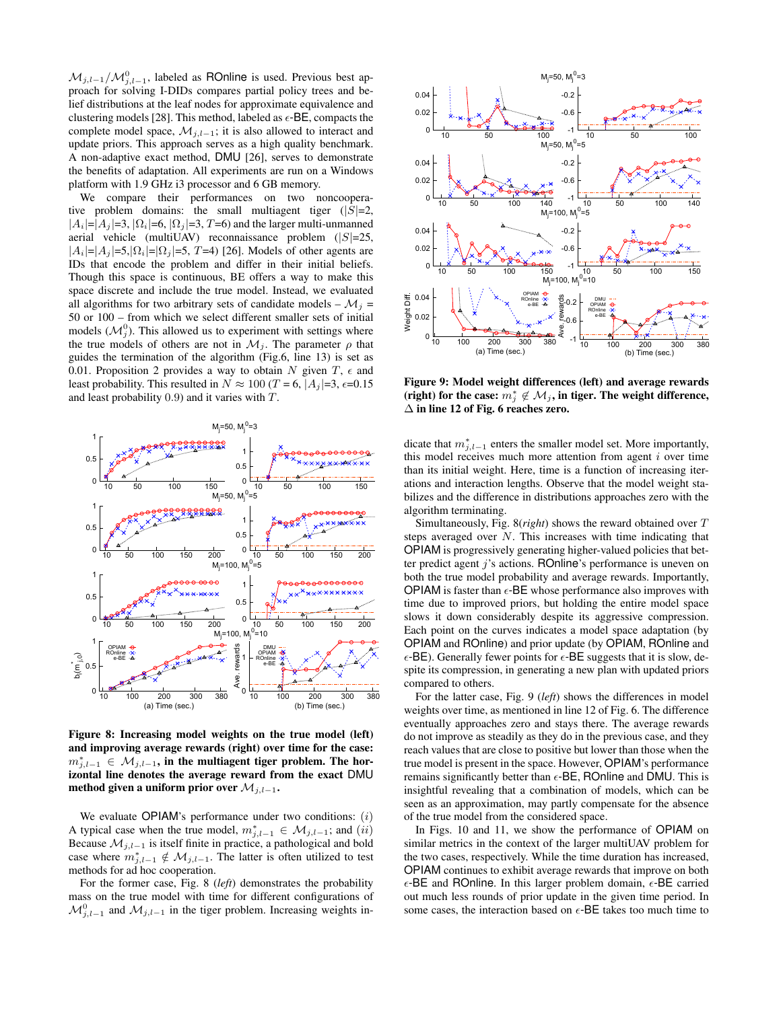$\mathcal{M}_{j,l-1}/\mathcal{M}_{j,l-1}^0$ , labeled as ROnline is used. Previous best approach for solving I-DIDs compares partial policy trees and belief distributions at the leaf nodes for approximate equivalence and clustering models [28]. This method, labeled as  $\epsilon$ -BE, compacts the complete model space,  $\mathcal{M}_{j,l-1}$ ; it is also allowed to interact and update priors. This approach serves as a high quality benchmark. A non-adaptive exact method, DMU [26], serves to demonstrate the benefits of adaptation. All experiments are run on a Windows platform with 1.9 GHz i3 processor and 6 GB memory.

We compare their performances on two noncooperative problem domains: the small multiagent tiger  $(|S|=2)$ ,  $|A_i|=|A_j|=3, |\Omega_i|=6, |\Omega_j|=3, T=6$  and the larger multi-unmanned aerial vehicle (multiUAV) reconnaissance problem  $(|S|=25$ ,  $|A_i|=|A_j|=5, |\Omega_i|=|\Omega_j|=5, T=4$  [26]. Models of other agents are IDs that encode the problem and differ in their initial beliefs. Though this space is continuous, BE offers a way to make this space discrete and include the true model. Instead, we evaluated all algorithms for two arbitrary sets of candidate models –  $\mathcal{M}_i$  = 50 or 100 – from which we select different smaller sets of initial models  $(M_j^0)$ . This allowed us to experiment with settings where the true models of others are not in  $\mathcal{M}_i$ . The parameter  $\rho$  that guides the termination of the algorithm (Fig.6, line 13) is set as 0.01. Proposition 2 provides a way to obtain N given  $T$ ,  $\epsilon$  and least probability. This resulted in  $N \approx 100$  (T = 6, |A<sub>j</sub>|=3,  $\epsilon$ =0.15 and least probability 0.9) and it varies with T.



Figure 8: Increasing model weights on the true model (left) and improving average rewards (right) over time for the case:  $m_{j,l-1}^* \in \mathcal{M}_{j,l-1}$ , in the multiagent tiger problem. The horizontal line denotes the average reward from the exact DMU method given a uniform prior over  $\mathcal{M}_{j,l-1}$ .

We evaluate OPIAM's performance under two conditions:  $(i)$ A typical case when the true model,  $m_{j,l-1}^* \in \mathcal{M}_{j,l-1}$ ; and  $(ii)$ Because  $\mathcal{M}_{j,l-1}$  is itself finite in practice, a pathological and bold case where  $m_{j,l-1}^* \notin \mathcal{M}_{j,l-1}$ . The latter is often utilized to test methods for ad hoc cooperation.

For the former case, Fig. 8 (*left*) demonstrates the probability mass on the true model with time for different configurations of  $\mathcal{M}_{j,l-1}^0$  and  $\mathcal{M}_{j,l-1}$  in the tiger problem. Increasing weights in-



Figure 9: Model weight differences (left) and average rewards (right) for the case:  $m_j^* \notin \mathcal{M}_j$ , in tiger. The weight difference,  $\Delta$  in line 12 of Fig. 6 reaches zero.

dicate that  $m_{j,l-1}^*$  enters the smaller model set. More importantly, this model receives much more attention from agent  $i$  over time than its initial weight. Here, time is a function of increasing iterations and interaction lengths. Observe that the model weight stabilizes and the difference in distributions approaches zero with the algorithm terminating.

Simultaneously, Fig. 8(*right*) shows the reward obtained over T steps averaged over N. This increases with time indicating that OPIAM is progressively generating higher-valued policies that better predict agent j's actions. ROnline's performance is uneven on both the true model probability and average rewards. Importantly, **OPIAM** is faster than  $\epsilon$ -BE whose performance also improves with time due to improved priors, but holding the entire model space slows it down considerably despite its aggressive compression. Each point on the curves indicates a model space adaptation (by OPIAM and ROnline) and prior update (by OPIAM, ROnline and  $\epsilon$ -BE). Generally fewer points for  $\epsilon$ -BE suggests that it is slow, despite its compression, in generating a new plan with updated priors compared to others.

For the latter case, Fig. 9 (*left*) shows the differences in model weights over time, as mentioned in line 12 of Fig. 6. The difference eventually approaches zero and stays there. The average rewards do not improve as steadily as they do in the previous case, and they reach values that are close to positive but lower than those when the true model is present in the space. However, OPIAM's performance remains significantly better than  $\epsilon$ -BE, ROnline and DMU. This is insightful revealing that a combination of models, which can be seen as an approximation, may partly compensate for the absence of the true model from the considered space.

In Figs. 10 and 11, we show the performance of OPIAM on similar metrics in the context of the larger multiUAV problem for the two cases, respectively. While the time duration has increased, OPIAM continues to exhibit average rewards that improve on both  $\epsilon$ -BE and ROnline. In this larger problem domain,  $\epsilon$ -BE carried out much less rounds of prior update in the given time period. In some cases, the interaction based on  $\epsilon$ -BE takes too much time to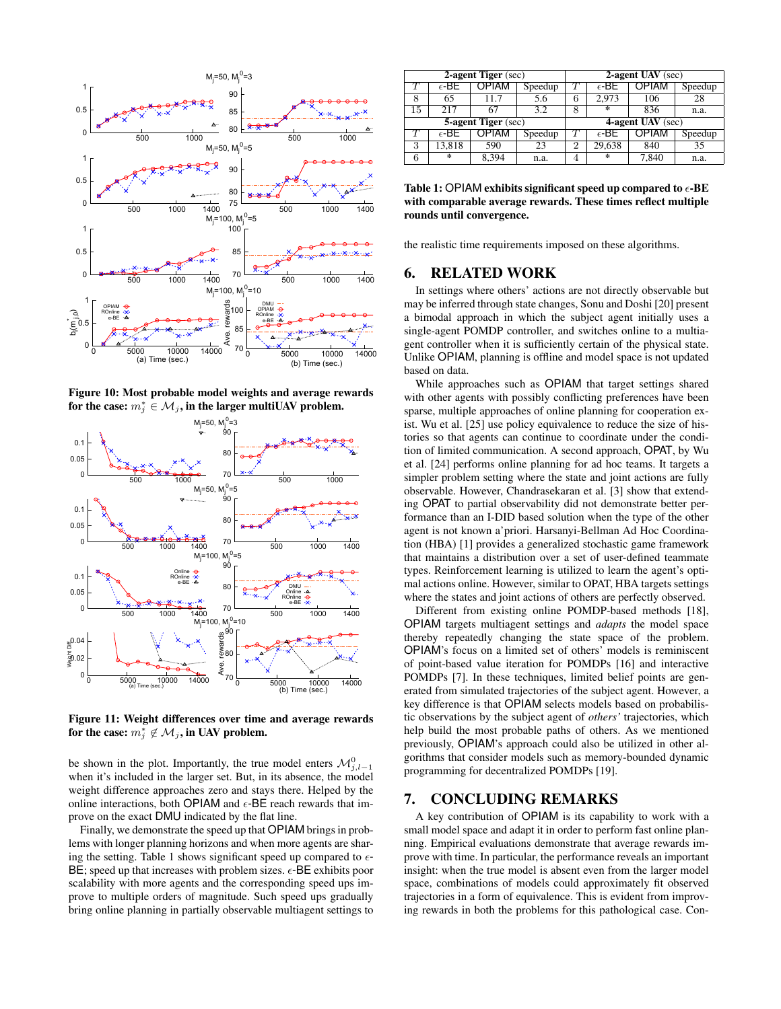

Figure 10: Most probable model weights and average rewards for the case:  $m^*_j \in \mathcal{M}_j$ , in the larger multiUAV problem.



Figure 11: Weight differences over time and average rewards for the case:  $m_j^* \notin \mathcal{M}_j$ , in UAV problem.

be shown in the plot. Importantly, the true model enters  $\mathcal{M}_{j,l-1}^0$ when it's included in the larger set. But, in its absence, the model weight difference approaches zero and stays there. Helped by the online interactions, both OPIAM and  $\epsilon$ -BE reach rewards that improve on the exact DMU indicated by the flat line.

Finally, we demonstrate the speed up that OPIAM brings in problems with longer planning horizons and when more agents are sharing the setting. Table 1 shows significant speed up compared to  $\epsilon$ - $BE$ ; speed up that increases with problem sizes.  $\epsilon$ -BE exhibits poor scalability with more agents and the corresponding speed ups improve to multiple orders of magnitude. Such speed ups gradually bring online planning in partially observable multiagent settings to

| 2-agent Tiger (sec)        |                |       |         | 2-agent UAV (sec) |                |              |         |  |
|----------------------------|----------------|-------|---------|-------------------|----------------|--------------|---------|--|
|                            | $\epsilon$ -BE | OPIAM | Speedup |                   | $\epsilon$ -BE | <b>OPIAM</b> | Speedup |  |
| 8                          | 65             | 11.7  | 5.6     | 6                 | 2.973          | 106          | 28      |  |
| 15                         | 217            | 67    | 3.2     | 8                 | $\ast$         | 836          | n.a.    |  |
| <b>5-agent Tiger</b> (sec) |                |       |         | 4-agent UAV (sec) |                |              |         |  |
|                            | $\epsilon$ -BE | OPIAM | Speedup |                   | $\epsilon$ -BE | OPIAM        | Speedup |  |
| 3                          | 13,818         | 590   | 23      | 2                 | 29,638         | 840          | 35      |  |
| 6                          | $\ast$         | 8,394 | n.a.    | 4                 | $\ast$         | 7,840        | n.a.    |  |

Table 1: OPIAM exhibits significant speed up compared to  $\epsilon$ -BE with comparable average rewards. These times reflect multiple rounds until convergence.

the realistic time requirements imposed on these algorithms.

## 6. RELATED WORK

In settings where others' actions are not directly observable but may be inferred through state changes, Sonu and Doshi [20] present a bimodal approach in which the subject agent initially uses a single-agent POMDP controller, and switches online to a multiagent controller when it is sufficiently certain of the physical state. Unlike OPIAM, planning is offline and model space is not updated based on data.

While approaches such as OPIAM that target settings shared with other agents with possibly conflicting preferences have been sparse, multiple approaches of online planning for cooperation exist. Wu et al. [25] use policy equivalence to reduce the size of histories so that agents can continue to coordinate under the condition of limited communication. A second approach, OPAT, by Wu et al. [24] performs online planning for ad hoc teams. It targets a simpler problem setting where the state and joint actions are fully observable. However, Chandrasekaran et al. [3] show that extending OPAT to partial observability did not demonstrate better performance than an I-DID based solution when the type of the other agent is not known a'priori. Harsanyi-Bellman Ad Hoc Coordination (HBA) [1] provides a generalized stochastic game framework that maintains a distribution over a set of user-defined teammate types. Reinforcement learning is utilized to learn the agent's optimal actions online. However, similar to OPAT, HBA targets settings where the states and joint actions of others are perfectly observed.

Different from existing online POMDP-based methods [18], OPIAM targets multiagent settings and *adapts* the model space thereby repeatedly changing the state space of the problem. OPIAM's focus on a limited set of others' models is reminiscent of point-based value iteration for POMDPs [16] and interactive POMDPs [7]. In these techniques, limited belief points are generated from simulated trajectories of the subject agent. However, a key difference is that OPIAM selects models based on probabilistic observations by the subject agent of *others'* trajectories, which help build the most probable paths of others. As we mentioned previously, OPIAM's approach could also be utilized in other algorithms that consider models such as memory-bounded dynamic programming for decentralized POMDPs [19].

## 7. CONCLUDING REMARKS

A key contribution of OPIAM is its capability to work with a small model space and adapt it in order to perform fast online planning. Empirical evaluations demonstrate that average rewards improve with time. In particular, the performance reveals an important insight: when the true model is absent even from the larger model space, combinations of models could approximately fit observed trajectories in a form of equivalence. This is evident from improving rewards in both the problems for this pathological case. Con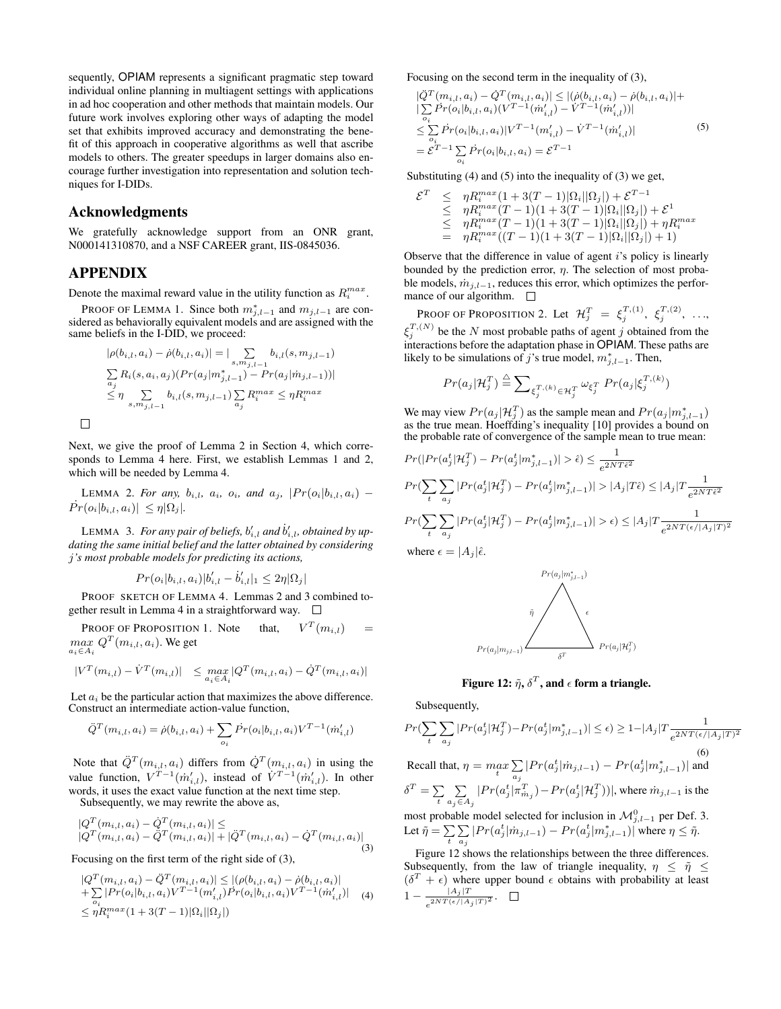sequently, OPIAM represents a significant pragmatic step toward individual online planning in multiagent settings with applications in ad hoc cooperation and other methods that maintain models. Our future work involves exploring other ways of adapting the model set that exhibits improved accuracy and demonstrating the benefit of this approach in cooperative algorithms as well that ascribe models to others. The greater speedups in larger domains also encourage further investigation into representation and solution techniques for I-DIDs.

#### Acknowledgments

We gratefully acknowledge support from an ONR grant, N000141310870, and a NSF CAREER grant, IIS-0845036.

## APPENDIX

 $\Box$ 

Denote the maximal reward value in the utility function as  $R_i^{max}$ .

PROOF OF LEMMA 1. Since both  $m_{j,l-1}^*$  and  $m_{j,l-1}$  are considered as behaviorally equivalent models and are assigned with the same beliefs in the I-DID, we proceed:

$$
|\rho(b_{i,l}, a_i) - \dot{\rho}(b_{i,l}, a_i)| = |\sum_{s, m_{j,l-1}} b_{i,l}(s, m_{j,l-1})
$$
  

$$
\sum_{a_j} R_i(s, a_i, a_j) (Pr(a_j|m_{j,l-1}^*) - Pr(a_j|m_{j,l-1}))|
$$
  

$$
\leq \eta \sum_{s, m_{j,l-1}} b_{i,l}(s, m_{j,l-1}) \sum_{a_j} R_i^{max} \leq \eta R_i^{max}
$$

Next, we give the proof of Lemma 2 in Section 4, which corresponds to Lemma 4 here. First, we establish Lemmas 1 and 2, which will be needed by Lemma 4.

LEMMA 2. For any,  $b_{i,l}$ ,  $a_i$ ,  $o_i$ , and  $a_j$ ,  $|Pr(o_i|b_{i,l}, a_i)$  –  $Pr(o_i|b_{i,l}, a_i)| \leq \eta |\Omega_j|$ .

LEMMA 3. For any pair of beliefs,  $b'_{i,l}$  and  $\dot{b}'_{i,l}$ , obtained by up*dating the same initial belief and the latter obtained by considering* j*'s most probable models for predicting its actions,*

$$
Pr(o_i|b_{i,l}, a_i)|b'_{i,l} - \dot{b}'_{i,l}|_1 \leq 2\eta |\Omega_j|
$$

PROOF SKETCH OF LEMMA 4. Lemmas 2 and 3 combined together result in Lemma 4 in a straightforward way.  $\square$ 

PROOF OF PROPOSITION 1. Note  $T(m_{i,l})$  =  $max$   $Q^{T}(m_{i,l}, a_i)$ . We get  $a_i \in A_i$ 

$$
|V^T(m_{i,l}) - \dot{V}^T(m_{i,l})| \leq \max_{a_i \in A_i} |Q^T(m_{i,l}, a_i) - \dot{Q}^T(m_{i,l}, a_i)|
$$

Let  $a_i$  be the particular action that maximizes the above difference. Construct an intermediate action-value function,

$$
\ddot{Q}^T(m_{i,l}, a_i) = \dot{\rho}(b_{i,l}, a_i) + \sum_{o_i} \dot{Pr}(o_i | b_{i,l}, a_i) V^{T-1}(\dot{m}'_{i,l})
$$

Note that  $\ddot{Q}^T(m_{i,l}, a_i)$  differs from  $\dot{Q}^T(m_{i,l}, a_i)$  in using the value function,  $V^{T-1}(\dot{m}'_{i,l})$ , instead of  $\dot{V}^{T-1}(\dot{m}'_{i,l})$ . In other words, it uses the exact value function at the next time step. Subsequently, we may rewrite the above as,

$$
\begin{aligned} |Q^T(m_{i,l}, a_i) - \dot{Q}^T(m_{i,l}, a_i)| &\leq\\ |Q^T(m_{i,l}, a_i) - \ddot{Q}^T(m_{i,l}, a_i)| + |\ddot{Q}^T(m_{i,l}, a_i) - \dot{Q}^T(m_{i,l}, a_i)| \end{aligned} \tag{3}
$$

Focusing on the first term of the right side of (3),

$$
|Q^T(m_{i,l}, a_i) - \ddot{Q}^T(m_{i,l}, a_i)| \le |(\rho(b_{i,l}, a_i) - \dot{\rho}(b_{i,l}, a_i)|
$$
  
+  $\sum_{o_i} |Pr(o_i|b_{i,l}, a_i) V^{T-1}(m'_{i,l}) \dot{Pr}(o_i|b_{i,l}, a_i) V^{T-1}(m'_{i,l})|$  (4)  
 $\le \eta R_i^{max}(1 + 3(T - 1)|\Omega_i||\Omega_j|)$ 

Focusing on the second term in the inequality of (3),

$$
\left| \dot{Q}^{T}(m_{i,l}, a_{i}) - \dot{Q}^{T}(m_{i,l}, a_{i}) \right| \leq \left| (\dot{\rho}(b_{i,l}, a_{i}) - \dot{\rho}(b_{i,l}, a_{i}) \right| +
$$
\n
$$
\left| \sum_{o_{i}} \dot{P}r(o_{i}|b_{i,l}, a_{i}) (V^{T-1}(\dot{m}'_{i,l}) - V^{T-1}(\dot{m}'_{i,l})) \right|
$$
\n
$$
\leq \sum_{o_{i}} \dot{P}r(o_{i}|b_{i,l}, a_{i}) | V^{T-1}(m'_{i,l}) - V^{T-1}(\dot{m}'_{i,l})|
$$
\n
$$
= \mathcal{E}^{T-1} \sum_{o_{i}} \dot{P}r(o_{i}|b_{i,l}, a_{i}) = \mathcal{E}^{T-1}
$$
\n(5)

Substituting (4) and (5) into the inequality of (3) we get,

$$
\mathcal{E}^T \leq \eta R_i^{max}(1+3(T-1)|\Omega_i||\Omega_j|) + \mathcal{E}^{T-1} \n\leq \eta R_i^{max}(T-1)(1+3(T-1)|\Omega_i||\Omega_j|) + \mathcal{E}^1 \n\leq \eta R_i^{max}(T-1)(1+3(T-1)|\Omega_i||\Omega_j|) + \eta R_i^{max} \n= \eta R_i^{max}((T-1)(1+3(T-1)|\Omega_i||\Omega_j|)+1)
$$

Observe that the difference in value of agent i's policy is linearly bounded by the prediction error,  $\eta$ . The selection of most probable models,  $\dot{m}_{j,l-1}$ , reduces this error, which optimizes the performance of our algorithm.  $\square$ 

Proof of Proposition 2. Let  $\mathcal{H}_j^T~=~\xi_j^{T,(1)},~\xi_j^{T,(2)},~\ldots,$  $\xi_j^{T,(N)}$  be the N most probable paths of agent j obtained from the interactions before the adaptation phase in OPIAM. These paths are likely to be simulations of j's true model,  $m_{j,l-1}^*$ . Then,

$$
Pr(a_j|\mathcal{H}_j^T) \stackrel{\triangle}{=} \sum_{\xi_j^T,(k)} \sum_{\in \mathcal{H}_j^T} \omega_{\xi_j^T} Pr(a_j|\xi_j^T,(k))
$$

We may view  $Pr(a_j | \mathcal{H}_j^T)$  as the sample mean and  $Pr(a_j | m_{j,l-1}^*)$ as the true mean. Hoeffding's inequality [10] provides a bound on the probable rate of convergence of the sample mean to true mean:

$$
Pr(|Pr(a_j^t | \mathcal{H}_j^T) - Pr(a_j^t | m_{j,l-1}^* )| > \hat{\epsilon}) \le \frac{1}{e^{2NT\hat{\epsilon}^2}}
$$
  
\n
$$
Pr(\sum_t \sum_{a_j} |Pr(a_j^t | \mathcal{H}_j^T) - Pr(a_j^t | m_{j,l-1}^* )| > |A_j|T\hat{\epsilon}) \le |A_j|T \frac{1}{e^{2NT\hat{\epsilon}^2}}
$$
  
\n
$$
Pr(\sum_t \sum_{a_j} |Pr(a_j^t | \mathcal{H}_j^T) - Pr(a_j^t | m_{j,l-1}^* )| > \epsilon) \le |A_j|T \frac{1}{e^{2NT(\epsilon/|A_j|T)^2}}
$$
  
\nwhere  $\epsilon = |A_j|\hat{\epsilon}$ .





Figure 12:  $\tilde{\eta}, \delta^T,$  and  $\epsilon$  form a triangle.

Subsequently,

$$
Pr(\sum_{t}\sum_{a_j}|Pr(a_j^t|\mathcal{H}_j^T)-Pr(a_j^t|m_{j,l-1}^*)| \leq \epsilon) \geq 1-|A_j|T\frac{1}{e^{2NT(\epsilon/|A_j|T)^2}}
$$
\n(6)  
\nRecall that,  $\eta = \max_{t}\sum_{a_j}|Pr(a_j^t|m_{j,l-1}) - Pr(a_j^t|m_{j,l-1}^*)|$  and  
\n
$$
\delta^T = \sum_{t}\sum_{a_j\in A_j}|Pr(a_j^t|\pi_{m_j}^T) - Pr(a_j^t|\mathcal{H}_j^T))|
$$
, where  $m_{j,l-1}$  is the  
\nmost probable model selected for inclusion in  $\mathcal{M}_{j,l-1}^0$  per Def. 3.  
\nLet  $\tilde{\eta} = \sum_{t}\sum_{a_j}|Pr(a_j^t|m_{j,l-1}) - Pr(a_j^t|m_{j,l-1}^*)|$  where  $\eta \leq \tilde{\eta}$ .  
\nFigure 12 shows the relationships between the three differences.

Subsequently, from the law of triangle inequality,  $\eta \leq \tilde{\eta} \leq$  $(\delta^T + \epsilon)$  where upper bound  $\epsilon$  obtains with probability at least  $1 - \frac{|A_j|T}{2NT(\epsilon)/A}$  $\frac{|A_j|}{e^{2NT(\epsilon/|A_j|T)^2}}.$